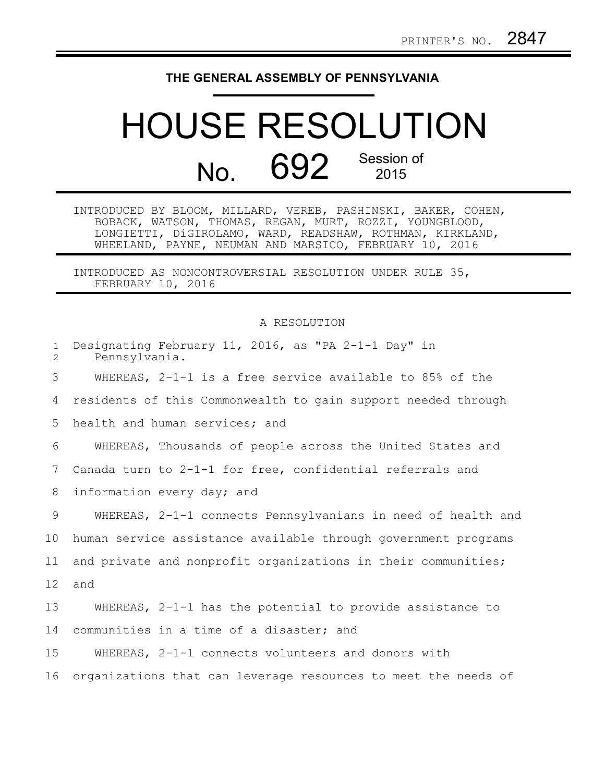## **THE GENERAL ASSEMBLY OF PENNSYLVANIA**

## HOUSE RESOLUTION No. 692 Session of

INTRODUCED BY BLOOM, MILLARD, VEREB, PASHINSKI, BAKER, COHEN, BOBACK, WATSON, THOMAS, REGAN, MURT, ROZZI, YOUNGBLOOD, LONGIETTI, DiGIROLAMO, WARD, READSHAW, ROTHMAN, KIRKLAND, WHEELAND, PAYNE, NEUMAN AND MARSICO, FEBRUARY 10, 2016

INTRODUCED AS NONCONTROVERSIAL RESOLUTION UNDER RULE 35, FEBRUARY 10, 2016

## A RESOLUTION

| $\mathbf{1}$<br>$\overline{2}$ | Designating February 11, 2016, as "PA 2-1-1 Day" in<br>Pennsylvania. |
|--------------------------------|----------------------------------------------------------------------|
| 3                              | WHEREAS, 2-1-1 is a free service available to 85% of the             |
| 4                              | residents of this Commonwealth to gain support needed through        |
| 5                              | health and human services; and                                       |
| 6                              | WHEREAS, Thousands of people across the United States and            |
| 7                              | Canada turn to 2-1-1 for free, confidential referrals and            |
| 8                              | information every day; and                                           |
| 9                              | WHEREAS, 2-1-1 connects Pennsylvanians in need of health and         |
| 10                             | human service assistance available through government programs       |
| 11                             | and private and nonprofit organizations in their communities;        |
| 12                             | and                                                                  |
| 13                             | WHEREAS, 2-1-1 has the potential to provide assistance to            |
| 14                             | communities in a time of a disaster; and                             |
| 15                             | WHEREAS, 2-1-1 connects volunteers and donors with                   |
| 16                             | organizations that can leverage resources to meet the needs of       |